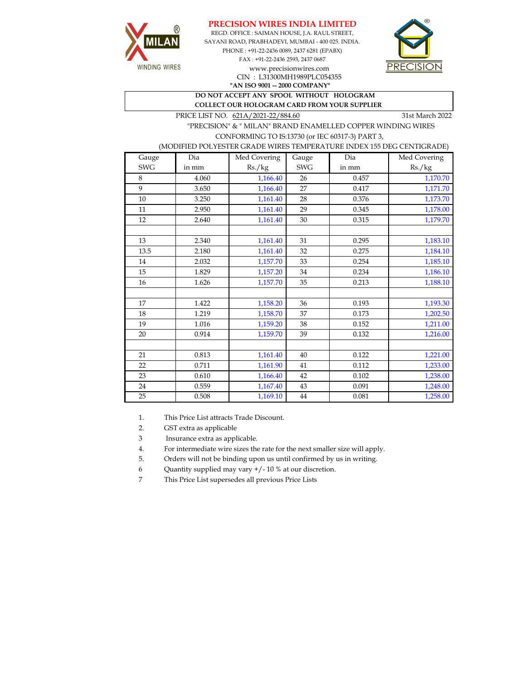



REGD. OFFICE : SAIMAN HOUSE, J.A. RAUL STREET, SAYANI ROAD, PRABHADEVI, MUMBAI - 400 025. INDIA. PHONE : +91-22-2436 0089, 2437 6281 (EPABX) FAX : +91-22-2436 2593, 2437 0687 www.precisionwires.com CIN : L31300MH1989PLC054355



**"AN ISO 9001 -- 2000 COMPANY" DO NOT ACCEPT ANY SPOOL WITHOUT HOLOGRAM COLLECT OUR HOLOGRAM CARD FROM YOUR SUPPLIER** 

PRICE LIST NO.  $621A/2021-22/884.60$  31st March 2022

 "PRECISION" & " MILAN" BRAND ENAMELLED COPPER WINDING WIRES CONFORMING TO IS:13730 (or IEC 60317-3) PART 3,

(MODIFIED POLYESTER GRADE WIRES TEMPERATURE INDEX 155 DEG CENTIGRADE)

| Gauge      | Dia   | Med Covering | Gauge      | Dia   | Med Covering |
|------------|-------|--------------|------------|-------|--------------|
| <b>SWG</b> | in mm | Rs./kg       | <b>SWG</b> | in mm | Rs./kg       |
| 8          | 4.060 | 1,166.40     | 26         | 0.457 | 1,170.70     |
| 9          | 3.650 | 1,166.40     | 27         | 0.417 | 1,171.70     |
| $10\,$     | 3.250 | 1,161.40     | 28         | 0.376 | 1,173.70     |
| 11         | 2.950 | 1,161.40     | 29         | 0.345 | 1,178.00     |
| 12         | 2.640 | 1,161.40     | 30         | 0.315 | 1,179.70     |
|            |       |              |            |       |              |
| 13         | 2.340 | 1,161.40     | 31         | 0.295 | 1,183.10     |
| 13.5       | 2.180 | 1,161.40     | 32         | 0.275 | 1,184.10     |
| 14         | 2.032 | 1,157.70     | 33         | 0.254 | 1,185.10     |
| 15         | 1.829 | 1,157.20     | 34         | 0.234 | 1,186.10     |
| 16         | 1.626 | 1,157.70     | 35         | 0.213 | 1,188.10     |
|            |       |              |            |       |              |
| 17         | 1.422 | 1,158.20     | 36         | 0.193 | 1,193.30     |
| 18         | 1.219 | 1,158.70     | 37         | 0.173 | 1,202.50     |
| 19         | 1.016 | 1,159.20     | 38         | 0.152 | 1,211.00     |
| 20         | 0.914 | 1,159.70     | 39         | 0.132 | 1,216.00     |
|            |       |              |            |       |              |
| 21         | 0.813 | 1,161.40     | 40         | 0.122 | 1,221.00     |
| 22         | 0.711 | 1,161.90     | 41         | 0.112 | 1,233.00     |
| 23         | 0.610 | 1,166.40     | 42         | 0.102 | 1,238.00     |
| 24         | 0.559 | 1,167.40     | 43         | 0.091 | 1,248.00     |
| 25         | 0.508 | 1,169.10     | $\bf 44$   | 0.081 | 1,258.00     |

1. This Price List attracts Trade Discount.

2. GST extra as applicable

3 Insurance extra as applicable.

4. For intermediate wire sizes the rate for the next smaller size will apply.

5. Orders will not be binding upon us until confirmed by us in writing.

6 Quantity supplied may vary +/- 10 % at our discretion.

7 This Price List supersedes all previous Price Lists